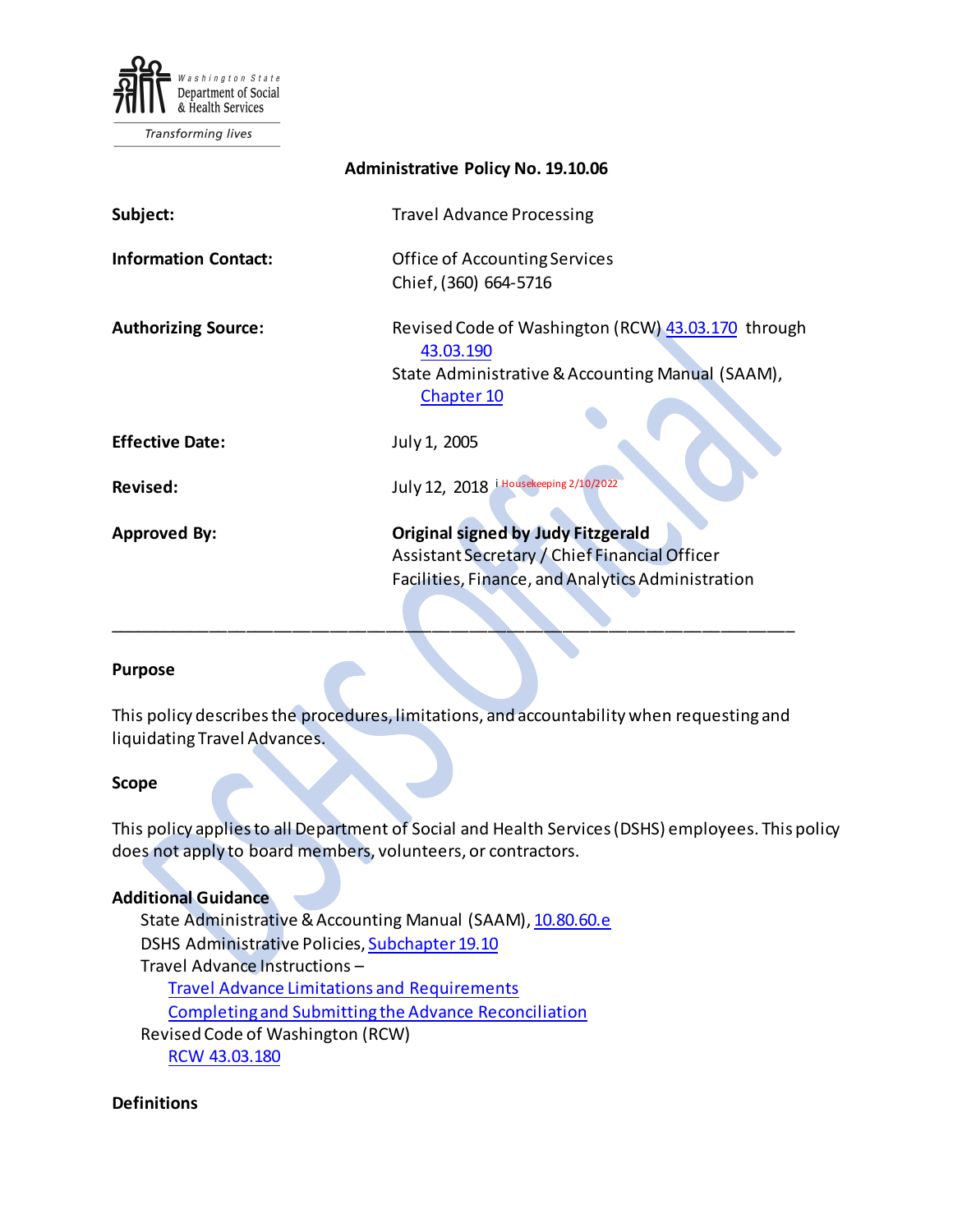

| <b>Administrative Policy No. 19.10.06</b> |                                                                                                                                                 |
|-------------------------------------------|-------------------------------------------------------------------------------------------------------------------------------------------------|
| Subject:                                  | <b>Travel Advance Processing</b>                                                                                                                |
| <b>Information Contact:</b>               | <b>Office of Accounting Services</b><br>Chief, (360) 664-5716                                                                                   |
| <b>Authorizing Source:</b>                | Revised Code of Washington (RCW) 43.03.170 through<br>43.03.190<br>State Administrative & Accounting Manual (SAAM),<br><b>Chapter 10</b>        |
| <b>Effective Date:</b>                    | July 1, 2005                                                                                                                                    |
| <b>Revised:</b>                           | July 12, 2018 i Housekeeping 2/10/2022                                                                                                          |
| <b>Approved By:</b>                       | <b>Original signed by Judy Fitzgerald</b><br>Assistant Secretary / Chief Financial Officer<br>Facilities, Finance, and Analytics Administration |

#### **Purpose**

This policy describes the procedures, limitations, and accountability when requesting and liquidating Travel Advances.

\_\_\_\_\_\_\_\_\_\_\_\_\_\_\_\_\_\_\_\_\_\_\_\_\_\_\_\_\_\_\_\_\_\_\_\_\_\_\_\_\_\_\_\_\_\_\_\_\_\_\_\_\_\_\_\_\_\_\_\_\_\_\_\_\_\_\_\_\_\_\_\_\_\_

#### **Scope**

This policy applies to all Department of Social and Health Services (DSHS) employees. This policy does not apply to board members, volunteers, or contractors.

#### **Additional Guidance**

State Administrative & Accounting Manual (SAAM)[, 10.80.60.e](https://ofm.wa.gov/sites/default/files/public/legacy/policy/10.80.htm) DSHS Administrative Policies[, Subchapter 19.10](http://one.dshs.wa.lcl/Policies/Pages/default.aspx) Travel Advance Instructions – [Travel Advance Limitations and Requirements](http://one.dshs.wa.lcl/FS/Fiscal/Accounting/Travel/Advances/Forms/AllItems.aspx) [Completing and Submitting the Advance Reconciliation](http://one.dshs.wa.lcl/FS/Fiscal/Accounting/Travel/Advances/Forms/AllItems.aspx) Revised Code of Washington (RCW) [RCW 43.03.180](https://apps.leg.wa.gov/RCW/default.aspx?cite=43.03.180)

#### **Definitions**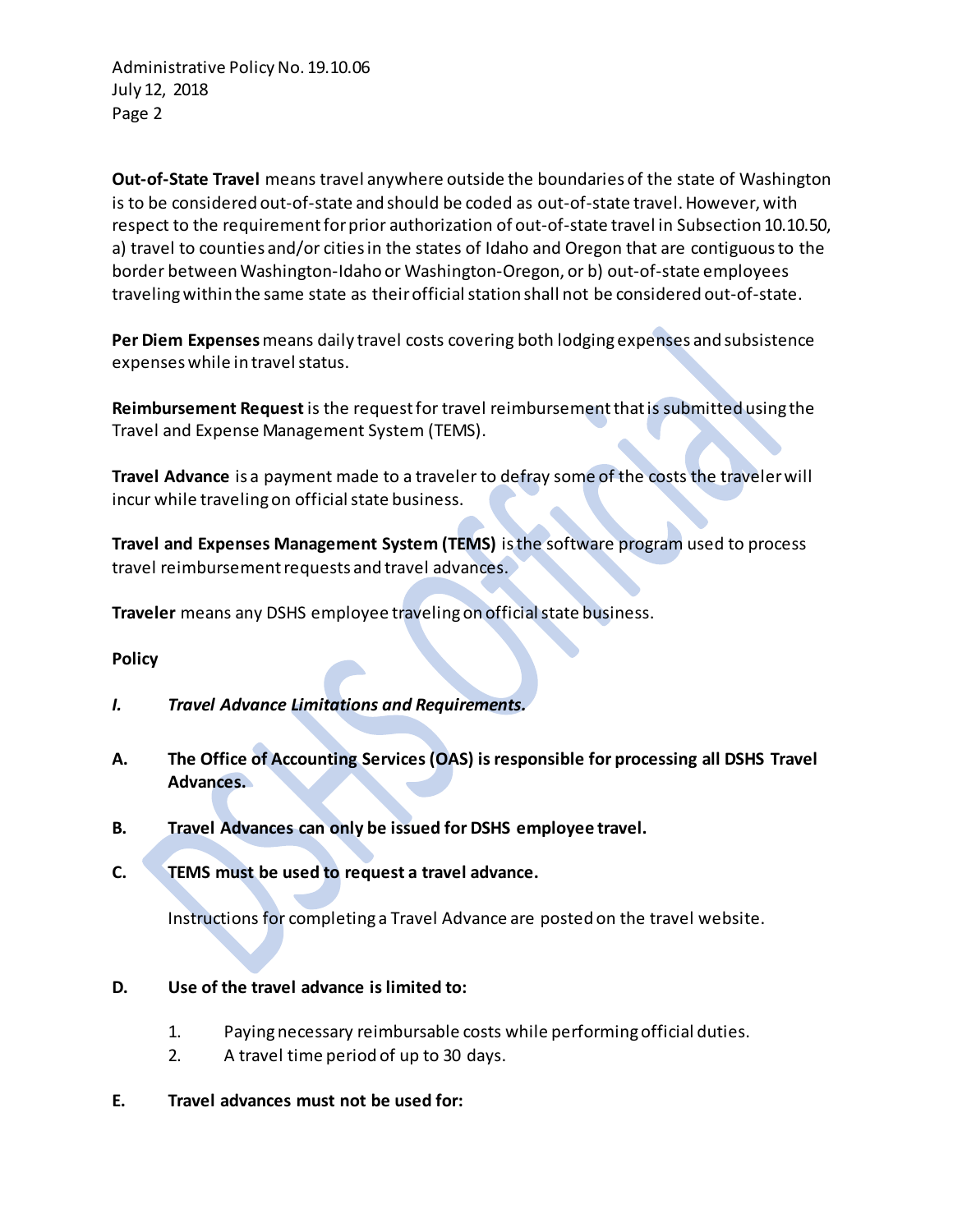Administrative Policy No. 19.10.06 July 12, 2018 Page 2

**Out-of-State Travel** means travel anywhere outside the boundaries of the state of Washington is to be considered out-of-state and should be coded as out-of-state travel. However, with respect to the requirement for prior authorization of out-of-state travel in Subsection 10.10.50, a) travel to counties and/or cities in the states of Idaho and Oregon that are contiguous to the border between Washington-Idaho or Washington-Oregon, or b) out-of-state employees traveling within the same state as their official station shall not be considered out-of-state.

**Per Diem Expenses** means daily travel costs covering both lodging expenses and subsistence expenses while in travel status.

**Reimbursement Request** is the request for travel reimbursement that is submitted using the Travel and Expense Management System (TEMS).

**Travel Advance** is a payment made to a traveler to defray some of the costs the traveler will incur while traveling on official state business.

**Travel and Expenses Management System (TEMS)** is the software program used to process travel reimbursement requests and travel advances.

**Traveler** means any DSHS employee traveling on official state business.

# **Policy**

- *I. Travel Advance Limitations and Requirements.*
- **A. The Office of Accounting Services (OAS) is responsible for processing all DSHS Travel Advances.**
- **B. Travel Advances can only be issued for DSHS employee travel.**
- **C. TEMS must be used to request a travel advance.**

Instructions for completing a Travel Advance are posted on the travel website.

- **D. Use of the travel advance is limited to:**
	- 1. Paying necessary reimbursable costs while performing official duties.
	- 2. A travel time period of up to 30 days.
- **E. Travel advances must not be used for:**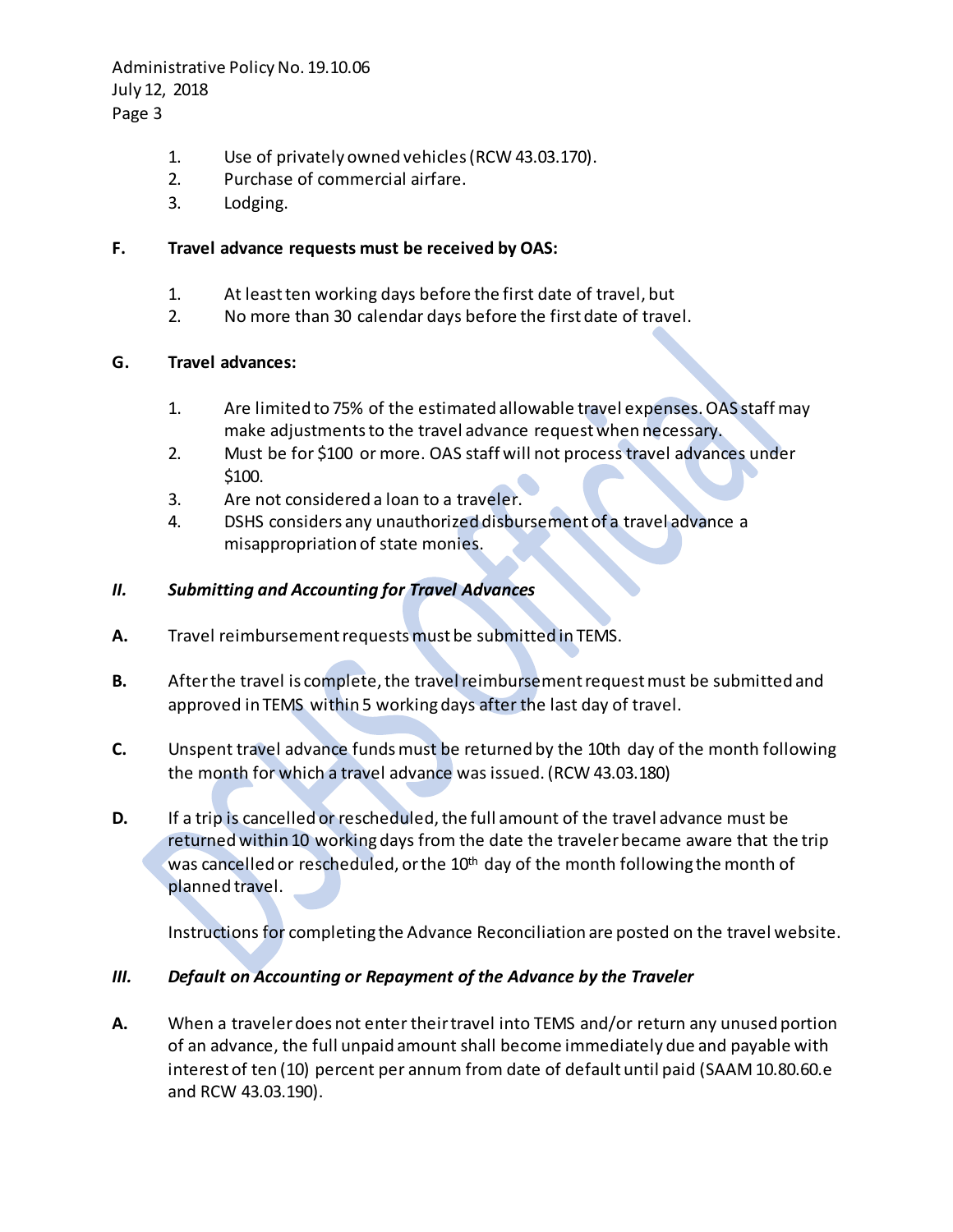Administrative Policy No. 19.10.06 July 12, 2018

Page 3

- 1. Use of privately owned vehicles (RCW 43.03.170).
- 2. Purchase of commercial airfare.
- 3. Lodging.

### **F. Travel advance requests must be received by OAS:**

- 1. At least ten working days before the first date of travel, but
- 2. No more than 30 calendar days before the first date of travel.

## **G. Travel advances:**

- 1. Are limited to 75% of the estimated allowable travel expenses.OAS staff may make adjustments to the travel advance request when necessary.
- 2. Must be for \$100 or more. OAS staff will not process travel advances under \$100.
- 3. Are not considered a loan to a traveler.
- 4. DSHS considers any unauthorized disbursement of a travel advance a misappropriation of state monies.

## *II. Submitting and Accounting for Travel Advances*

- **A.** Travel reimbursement requestsmust be submitted in TEMS.
- **B.** After the travel is complete, the travel reimbursement requestmust be submitted and approved in TEMS within 5 working days after the last day of travel.
- **C.** Unspent travel advance fundsmust be returned by the 10th day of the month following the month for which a travel advance was issued.(RCW 43.03.180)
- **D.** If a trip is cancelled or rescheduled, the full amount of the travel advance must be returnedwithin 10 working days from the date the traveler became aware that the trip was cancelled or rescheduled, or the 10<sup>th</sup> day of the month following the month of planned travel.

Instructions for completing the Advance Reconciliation are posted on the travel website.

# *III. Default on Accounting or Repayment of the Advance by the Traveler*

**A.** When a traveler does not enter their travel into TEMS and/or return any unused portion of an advance, the full unpaid amount shall become immediately due and payable with interest of ten (10) percent per annum from date of default until paid (SAAM 10.80.60.e and RCW 43.03.190).